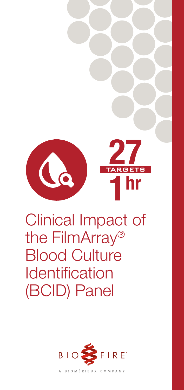

# Clinical Impact of the FilmArray® Blood Culture **Identification** (BCID) Panel

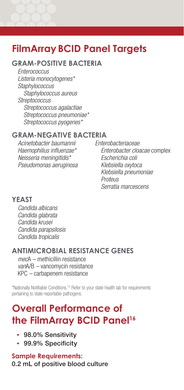## **FilmArray BCID Panel Targets**

#### **GRAM-POSITIVE BACTERIA**

*Enterococcus Listeria monocytogenes\* Staphylococcus Staphylococcus aureus Streptococcus Streptococcus agalactiae Streptococcus pneumoniae\* Streptococcus pyogenes\**

#### **GRAM-NEGATIVE BACTERIA**

*Acinetobacter baumannii Haemophilius influenzae\* Neisseria meningitidis\* Pseudomonas aeruginosa* *Enterobacteriaceae Enterobacter cloacae* complex *Escherichia coli Klebsiella oxytoca Klebsiella pneumoniae Proteus Serratia marcescens*

#### **YEAST**

*Candida albicans Candida glabrata Candida krusei Candida parapsilosis Candida tropicalis*

#### **ANTIMICROBIAL RESISTANCE GENES**

*mec*A *–* methicillin resistance *van*A/B *–* vancomycin resistance KPC *–* carbapenem resistance

\*Nationally Notifiable Conditions.15 Refer to your state health lab for requirements pertaining to state-reportable pathogens.

## **Overall Performance of the FilmArray BCID Panel16**

- 98.0% Sensitivity
- 99.9% Specificity

**Sample Requirements:** 0.2 mL of positive blood culture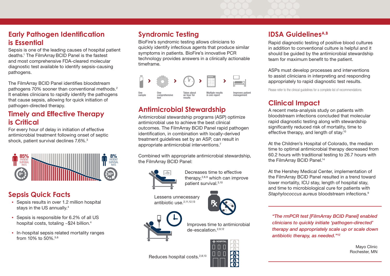## **Early Pathogen Identification is Essential**

Sepsis is one of the leading causes of hospital patient deaths.1 The FilmArrayBCID Panel is the fastest and most comprehensive FDA-cleared molecular diagnostic test available to identify sepsis-causing pathogens.

The FilmArray BCID Panel identifies bloodstream pathogens 70% sooner than conventional methods.<sup>2</sup> It enables clinicians to rapidly identify the pathogens that cause sepsis, allowing for quick initiation of pathogen-directed therapy.

## **Antimicrobial Stewardship Timely and Effective Therapy is Critical**

For every hour of delay in initiation of effective antimicrobial treatment following onset of septic shock, patient survival declines 7.6%.3



## **Sepsis Quick Facts**

- Sepsis results in over 1.2 million hospital stays in the US annually.<sup>4</sup>
- Sepsis is responsible for 6.2% of all US hospital costs, totaling ~\$24 billion.<sup>4</sup>
- In-hospital sepsis related mortality ranges from 10% to 50%.5,6

## **Syndromic Testing**

BioFire's syndromic testing allows clinicians to quickly identify infectious agents that produce similar symptoms in patients. BioFire's innovative PCR technology provides answers in a clinically actionable timeframe.



Antimicrobial stewardship programs (ASP) optimize antimicrobial use to achieve the best clinical outcomes. The FilmArray BCID Panel rapid pathogen identification, in combination with locally-derived treatment guidelines set by an ASP, can result in appropriate antimicrobial interventions.7

Combined with appropriate antimicrobial stewardship, the FilmArray BCID Panel:



Decreases time to effective therapy, $2,8,9$  which can improve patient survival.3,10

Lessens unnecessary antibiotic use.<sup>2,11,12,13</sup>



Improves time to antimicrobial de-escalation.2,9,12

HOSPITAL

 $\frac{1}{6}$ r sh

Reduces hospital costs.<sup>2,8,13</sup>

## **IDSA GuidelinesA,B**

Rapid diagnostic testing of positive blood cultures in addition to conventional culture is helpful and it should be guided by the antimicrobial stewardship team for maximum benefit to the patient.

ASPs must develop processes and interventions to assist clinicians in interpreting and responding appropriately to rapid diagnostic test results.

Please refer to the clinical guidelines for a complete list of recommendations.

## **Clinical Impact**

A recent meta-analysis study on patients with bloodstream infections concluded that molecular rapid diagnostic testing along with stewardship significantly reduced risk of mortality, time to effective therapy, and length of stay.10

At the Children's Hospital of Colorado, the median time to optimal antimicrobial therapy decreased from 60.2 hours with traditional testing to 26.7 hours with the FilmArray BCID Panel.<sup>14</sup>

At the Hershey Medical Center, implementation of the FilmArray BCID Panel resulted in a trend toward lower mortality, ICU stay, length of hospital stay, and time to microbiological cure for patients with *Staphylococcus aureus* bloodstream infections.9

*"The rmPCR test [FilmArray BCID Panel] enabled clinicians to quickly initiate 'pathogen-directed' therapy and appropriately scale up or scale down antibiotic therapy, as needed."12*

> Mayo Clinic Rochester, MN

 $\Box$